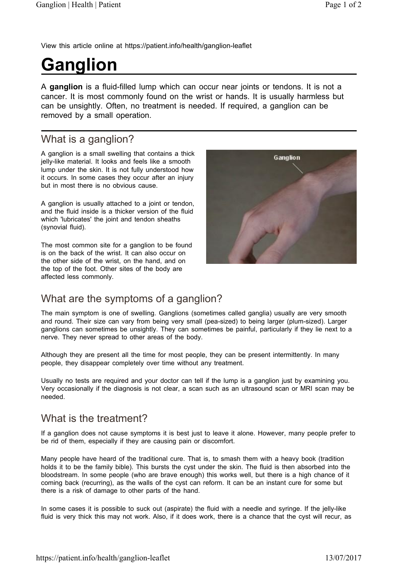View this article online at https://patient.info/health/ganglion-leaflet

# **Ganglion**

A **ganglion** is a fluid-filled lump which can occur near joints or tendons. It is not a cancer. It is most commonly found on the wrist or hands. It is usually harmless but can be unsightly. Often, no treatment is needed. If required, a ganglion can be removed by a small operation.

## What is a ganglion?

A ganglion is a small swelling that contains a thick jelly-like material. It looks and feels like a smooth lump under the skin. It is not fully understood how it occurs. In some cases they occur after an injury but in most there is no obvious cause.

A ganglion is usually attached to a joint or tendon, and the fluid inside is a thicker version of the fluid which 'lubricates' the joint and tendon sheaths (synovial fluid).

The most common site for a ganglion to be found is on the back of the wrist. It can also occur on the other side of the wrist, on the hand, and on the top of the foot. Other sites of the body are affected less commonly.



### What are the symptoms of a ganglion?

The main symptom is one of swelling. Ganglions (sometimes called ganglia) usually are very smooth and round. Their size can vary from being very small (pea-sized) to being larger (plum-sized). Larger ganglions can sometimes be unsightly. They can sometimes be painful, particularly if they lie next to a nerve. They never spread to other areas of the body.

Although they are present all the time for most people, they can be present intermittently. In many people, they disappear completely over time without any treatment.

Usually no tests are required and your doctor can tell if the lump is a ganglion just by examining you. Very occasionally if the diagnosis is not clear, a scan such as an ultrasound scan or MRI scan may be needed.

### What is the treatment?

If a ganglion does not cause symptoms it is best just to leave it alone. However, many people prefer to be rid of them, especially if they are causing pain or discomfort.

Many people have heard of the traditional cure. That is, to smash them with a heavy book (tradition holds it to be the family bible). This bursts the cyst under the skin. The fluid is then absorbed into the bloodstream. In some people (who are brave enough) this works well, but there is a high chance of it coming back (recurring), as the walls of the cyst can reform. It can be an instant cure for some but there is a risk of damage to other parts of the hand.

In some cases it is possible to suck out (aspirate) the fluid with a needle and syringe. If the jelly-like fluid is very thick this may not work. Also, if it does work, there is a chance that the cyst will recur, as